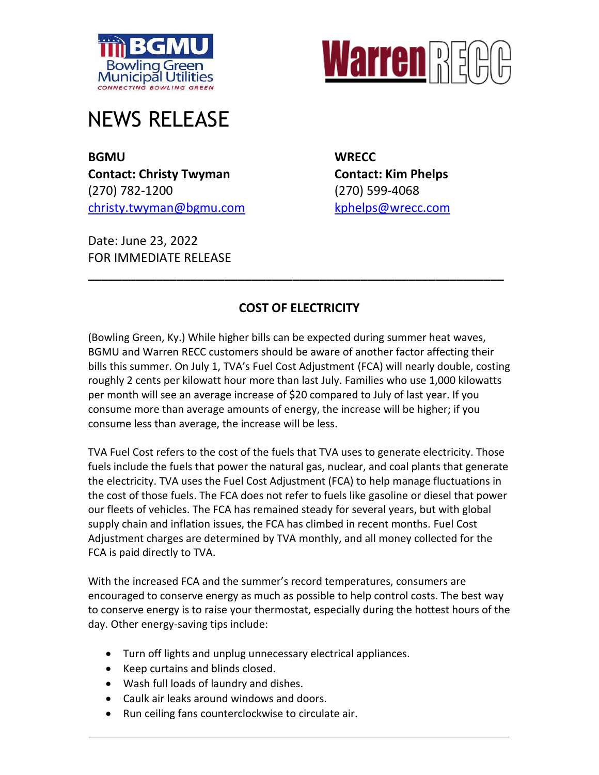



## NEWS RELEASE

**BGMU WRECC Contact: Christy Twyman Contact: Kim Phelps** (270) 782-1200 (270) 599-4068 [christy.twyman@bgmu.com](mailto:christy.twyman@bgmu.com) [kphelps@wrecc.com](mailto:kphelps@wrecc.com)

Date: June 23, 2022 FOR IMMEDIATE RELEASE

## **COST OF ELECTRICITY**

**\_\_\_\_\_\_\_\_\_\_\_\_\_\_\_\_\_\_\_\_\_\_\_\_\_\_\_\_\_\_\_\_\_\_\_\_\_\_\_\_\_\_\_\_\_\_\_\_\_\_\_\_\_\_\_\_\_\_\_\_\_**

(Bowling Green, Ky.) While higher bills can be expected during summer heat waves, BGMU and Warren RECC customers should be aware of another factor affecting their bills this summer. On July 1, TVA's Fuel Cost Adjustment (FCA) will nearly double, costing roughly 2 cents per kilowatt hour more than last July. Families who use 1,000 kilowatts per month will see an average increase of \$20 compared to July of last year. If you consume more than average amounts of energy, the increase will be higher; if you consume less than average, the increase will be less.

TVA Fuel Cost refers to the cost of the fuels that TVA uses to generate electricity. Those fuels include the fuels that power the natural gas, nuclear, and coal plants that generate the electricity. TVA uses the Fuel Cost Adjustment (FCA) to help manage fluctuations in the cost of those fuels. The FCA does not refer to fuels like gasoline or diesel that power our fleets of vehicles. The FCA has remained steady for several years, but with global supply chain and inflation issues, the FCA has climbed in recent months. Fuel Cost Adjustment charges are determined by TVA monthly, and all money collected for the FCA is paid directly to TVA.

With the increased FCA and the summer's record temperatures, consumers are encouraged to conserve energy as much as possible to help control costs. The best way to conserve energy is to raise your thermostat, especially during the hottest hours of the day. Other energy-saving tips include:

- Turn off lights and unplug unnecessary electrical appliances.
- Keep curtains and blinds closed.
- Wash full loads of laundry and dishes.
- Caulk air leaks around windows and doors.
- Run ceiling fans counterclockwise to circulate air.